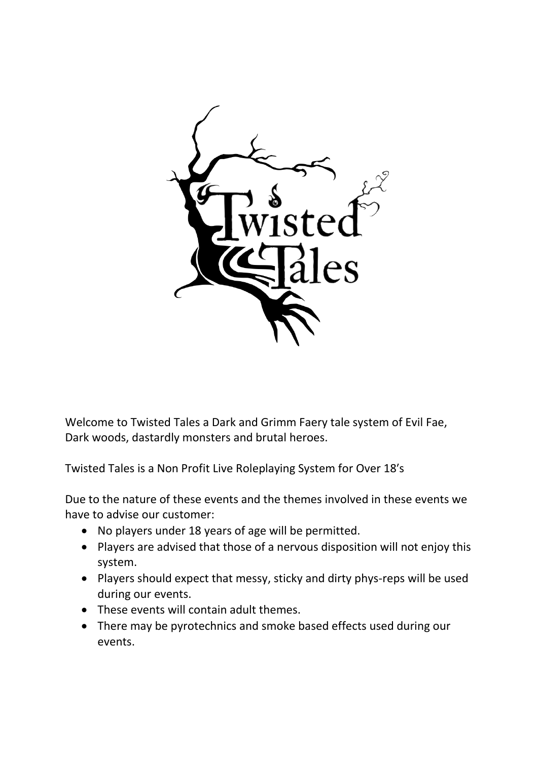

Welcome to Twisted Tales a Dark and Grimm Faery tale system of Evil Fae, Dark woods, dastardly monsters and brutal heroes.

Twisted Tales is a Non Profit Live Roleplaying System for Over 18′s

Due to the nature of these events and the themes involved in these events we have to advise our customer:

- No players under 18 years of age will be permitted.
- Players are advised that those of a nervous disposition will not enjoy this system.
- Players should expect that messy, sticky and dirty phys-reps will be used during our events.
- These events will contain adult themes.
- There may be pyrotechnics and smoke based effects used during our events.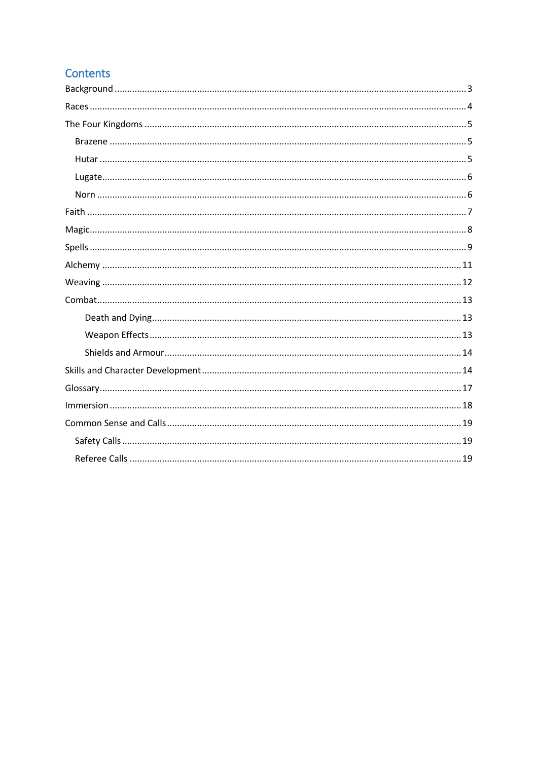# **Contents**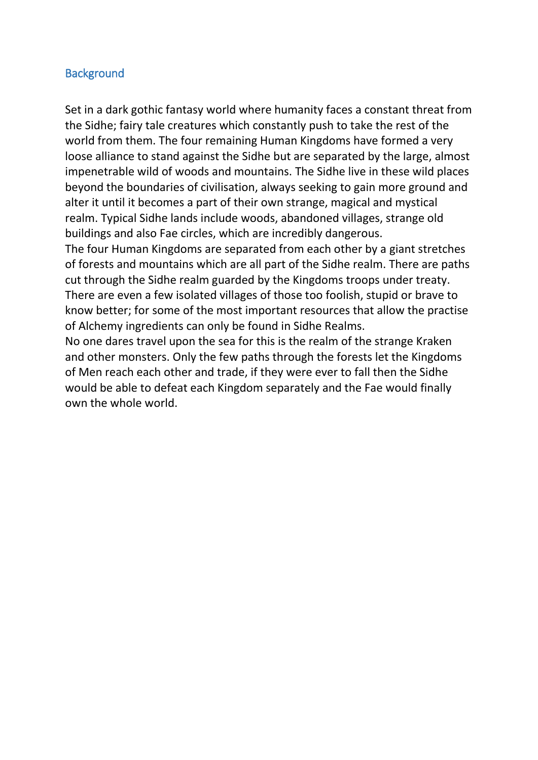### <span id="page-2-0"></span>**Background**

Set in a dark gothic fantasy world where humanity faces a constant threat from the Sidhe; fairy tale creatures which constantly push to take the rest of the world from them. The four remaining Human Kingdoms have formed a very loose alliance to stand against the Sidhe but are separated by the large, almost impenetrable wild of woods and mountains. The Sidhe live in these wild places beyond the boundaries of civilisation, always seeking to gain more ground and alter it until it becomes a part of their own strange, magical and mystical realm. Typical Sidhe lands include woods, abandoned villages, strange old buildings and also Fae circles, which are incredibly dangerous.

The four Human Kingdoms are separated from each other by a giant stretches of forests and mountains which are all part of the Sidhe realm. There are paths cut through the Sidhe realm guarded by the Kingdoms troops under treaty. There are even a few isolated villages of those too foolish, stupid or brave to know better; for some of the most important resources that allow the practise of Alchemy ingredients can only be found in Sidhe Realms.

No one dares travel upon the sea for this is the realm of the strange Kraken and other monsters. Only the few paths through the forests let the Kingdoms of Men reach each other and trade, if they were ever to fall then the Sidhe would be able to defeat each Kingdom separately and the Fae would finally own the whole world.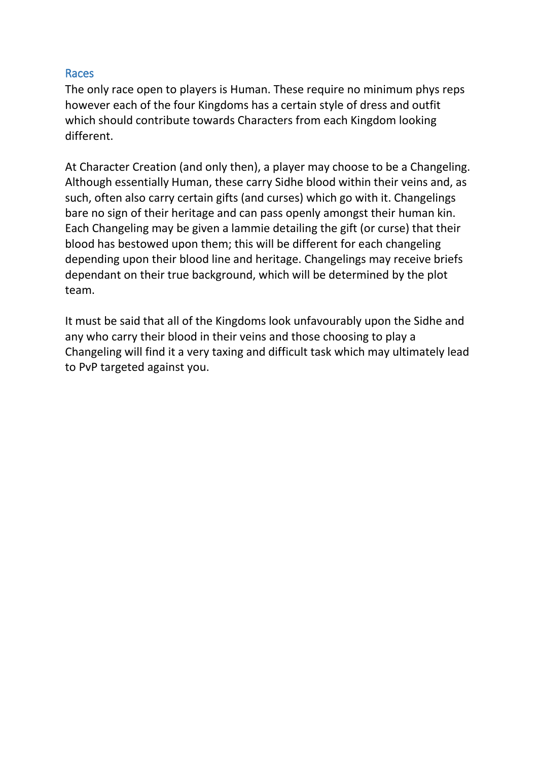#### <span id="page-3-0"></span>Races

The only race open to players is Human. These require no minimum phys reps however each of the four Kingdoms has a certain style of dress and outfit which should contribute towards Characters from each Kingdom looking different.

At Character Creation (and only then), a player may choose to be a Changeling. Although essentially Human, these carry Sidhe blood within their veins and, as such, often also carry certain gifts (and curses) which go with it. Changelings bare no sign of their heritage and can pass openly amongst their human kin. Each Changeling may be given a lammie detailing the gift (or curse) that their blood has bestowed upon them; this will be different for each changeling depending upon their blood line and heritage. Changelings may receive briefs dependant on their true background, which will be determined by the plot team.

It must be said that all of the Kingdoms look unfavourably upon the Sidhe and any who carry their blood in their veins and those choosing to play a Changeling will find it a very taxing and difficult task which may ultimately lead to PvP targeted against you.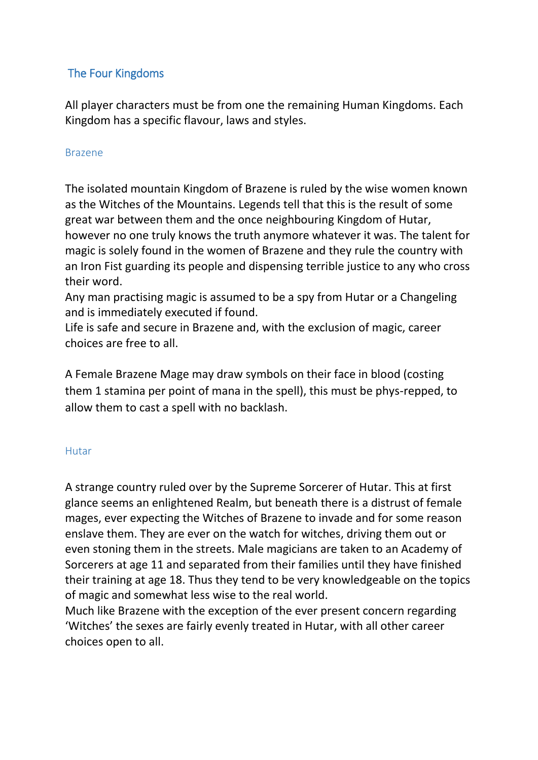# <span id="page-4-0"></span>The Four Kingdoms

All player characters must be from one the remaining Human Kingdoms. Each Kingdom has a specific flavour, laws and styles.

### <span id="page-4-1"></span>Brazene

The isolated mountain Kingdom of Brazene is ruled by the wise women known as the Witches of the Mountains. Legends tell that this is the result of some great war between them and the once neighbouring Kingdom of Hutar, however no one truly knows the truth anymore whatever it was. The talent for magic is solely found in the women of Brazene and they rule the country with an Iron Fist guarding its people and dispensing terrible justice to any who cross their word.

Any man practising magic is assumed to be a spy from Hutar or a Changeling and is immediately executed if found.

Life is safe and secure in Brazene and, with the exclusion of magic, career choices are free to all.

A Female Brazene Mage may draw symbols on their face in blood (costing them 1 stamina per point of mana in the spell), this must be phys-repped, to allow them to cast a spell with no backlash.

### <span id="page-4-2"></span>Hutar

A strange country ruled over by the Supreme Sorcerer of Hutar. This at first glance seems an enlightened Realm, but beneath there is a distrust of female mages, ever expecting the Witches of Brazene to invade and for some reason enslave them. They are ever on the watch for witches, driving them out or even stoning them in the streets. Male magicians are taken to an Academy of Sorcerers at age 11 and separated from their families until they have finished their training at age 18. Thus they tend to be very knowledgeable on the topics of magic and somewhat less wise to the real world.

Much like Brazene with the exception of the ever present concern regarding 'Witches' the sexes are fairly evenly treated in Hutar, with all other career choices open to all.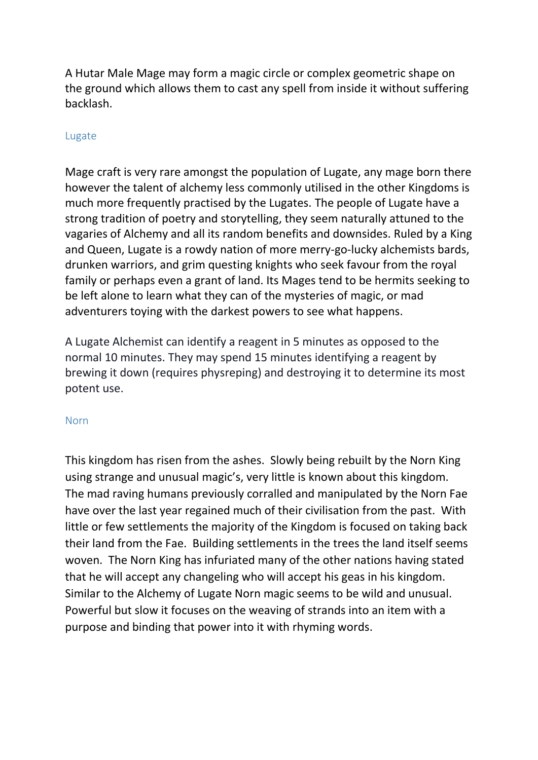A Hutar Male Mage may form a magic circle or complex geometric shape on the ground which allows them to cast any spell from inside it without suffering backlash.

#### <span id="page-5-0"></span>Lugate

Mage craft is very rare amongst the population of Lugate, any mage born there however the talent of alchemy less commonly utilised in the other Kingdoms is much more frequently practised by the Lugates. The people of Lugate have a strong tradition of poetry and storytelling, they seem naturally attuned to the vagaries of Alchemy and all its random benefits and downsides. Ruled by a King and Queen, Lugate is a rowdy nation of more merry-go-lucky alchemists bards, drunken warriors, and grim questing knights who seek favour from the royal family or perhaps even a grant of land. Its Mages tend to be hermits seeking to be left alone to learn what they can of the mysteries of magic, or mad adventurers toying with the darkest powers to see what happens.

A Lugate Alchemist can identify a reagent in 5 minutes as opposed to the normal 10 minutes. They may spend 15 minutes identifying a reagent by brewing it down (requires physreping) and destroying it to determine its most potent use.

#### <span id="page-5-1"></span>Norn

This kingdom has risen from the ashes. Slowly being rebuilt by the Norn King using strange and unusual magic's, very little is known about this kingdom. The mad raving humans previously corralled and manipulated by the Norn Fae have over the last year regained much of their civilisation from the past. With little or few settlements the majority of the Kingdom is focused on taking back their land from the Fae. Building settlements in the trees the land itself seems woven. The Norn King has infuriated many of the other nations having stated that he will accept any changeling who will accept his geas in his kingdom. Similar to the Alchemy of Lugate Norn magic seems to be wild and unusual. Powerful but slow it focuses on the weaving of strands into an item with a purpose and binding that power into it with rhyming words.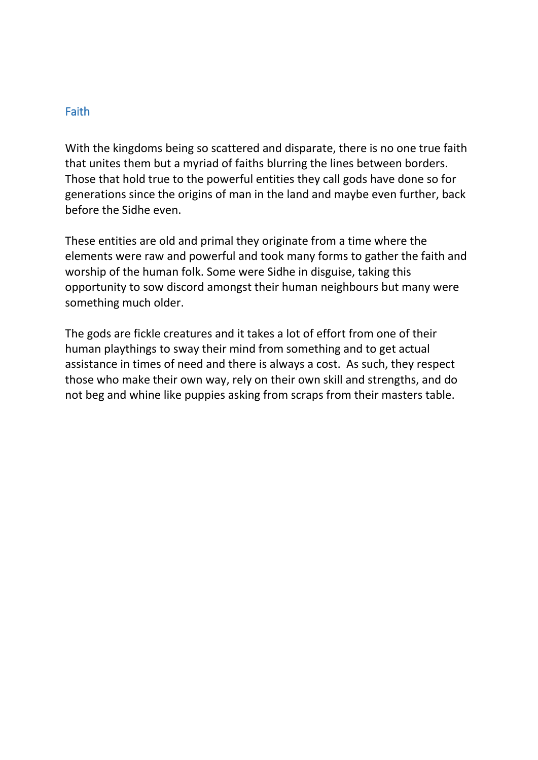#### <span id="page-6-0"></span>Faith

With the kingdoms being so scattered and disparate, there is no one true faith that unites them but a myriad of faiths blurring the lines between borders. Those that hold true to the powerful entities they call gods have done so for generations since the origins of man in the land and maybe even further, back before the Sidhe even.

These entities are old and primal they originate from a time where the elements were raw and powerful and took many forms to gather the faith and worship of the human folk. Some were Sidhe in disguise, taking this opportunity to sow discord amongst their human neighbours but many were something much older.

The gods are fickle creatures and it takes a lot of effort from one of their human playthings to sway their mind from something and to get actual assistance in times of need and there is always a cost. As such, they respect those who make their own way, rely on their own skill and strengths, and do not beg and whine like puppies asking from scraps from their masters table.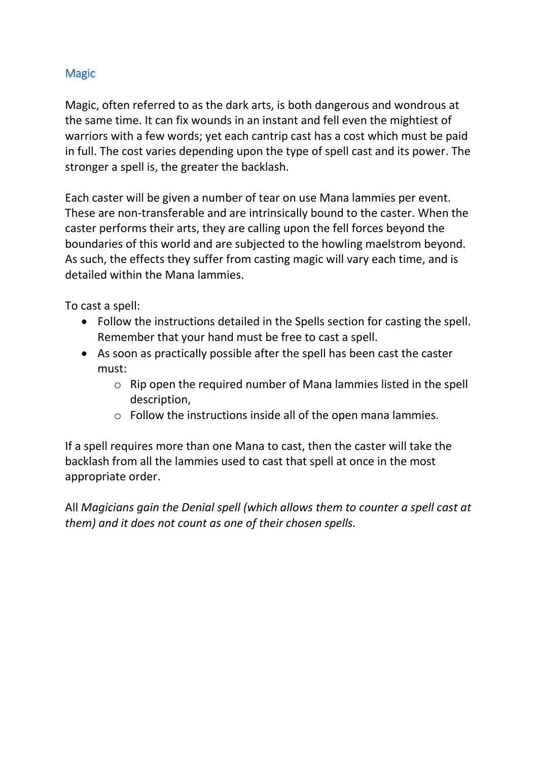# <span id="page-7-0"></span>**Magic**

Magic, often referred to as the dark arts, is both dangerous and wondrous at the same time. It can fix wounds in an instant and fell even the mightiest of warriors with a few words; yet each cantrip cast has a cost which must be paid in full. The cost varies depending upon the type of spell cast and its power. The stronger a spell is, the greater the backlash.

Each caster will be given a number of tear on use Mana lammies per event. These are non-transferable and are intrinsically bound to the caster. When the caster performs their arts, they are calling upon the fell forces beyond the boundaries of this world and are subjected to the howling maelstrom beyond. As such, the effects they suffer from casting magic will vary each time, and is detailed within the Mana lammies.

To cast a spell:

- Follow the instructions detailed in the Spells section for casting the spell. Remember that your hand must be free to cast a spell.
- As soon as practically possible after the spell has been cast the caster must:
	- o Rip open the required number of Mana lammies listed in the spell description,
	- o Follow the instructions inside all of the open mana lammies.

If a spell requires more than one Mana to cast, then the caster will take the backlash from all the lammies used to cast that spell at once in the most appropriate order.

All *Magicians gain the Denial spell (which allows them to counter a spell cast at them) and it does not count as one of their chosen spells.*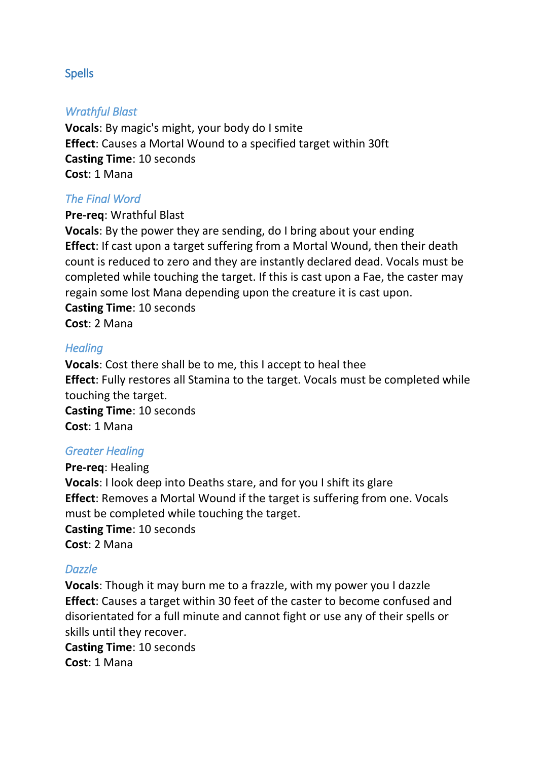### <span id="page-8-0"></span>Spells

#### *Wrathful Blast*

**Vocals**: By magic's might, your body do I smite **Effect**: Causes a Mortal Wound to a specified target within 30ft **Casting Time**: 10 seconds **Cost**: 1 Mana

### *The Final Word*

**Pre-req**: Wrathful Blast

**Vocals**: By the power they are sending, do I bring about your ending **Effect**: If cast upon a target suffering from a Mortal Wound, then their death count is reduced to zero and they are instantly declared dead. Vocals must be completed while touching the target. If this is cast upon a Fae, the caster may regain some lost Mana depending upon the creature it is cast upon. **Casting Time**: 10 seconds

**Cost**: 2 Mana

### *Healing*

**Vocals**: Cost there shall be to me, this I accept to heal thee **Effect**: Fully restores all Stamina to the target. Vocals must be completed while touching the target.

**Casting Time**: 10 seconds **Cost**: 1 Mana

### *Greater Healing*

**Pre-req**: Healing **Vocals**: I look deep into Deaths stare, and for you I shift its glare **Effect**: Removes a Mortal Wound if the target is suffering from one. Vocals must be completed while touching the target. **Casting Time**: 10 seconds **Cost**: 2 Mana

#### *Dazzle*

**Vocals**: Though it may burn me to a frazzle, with my power you I dazzle **Effect**: Causes a target within 30 feet of the caster to become confused and disorientated for a full minute and cannot fight or use any of their spells or skills until they recover.

**Casting Time**: 10 seconds **Cost**: 1 Mana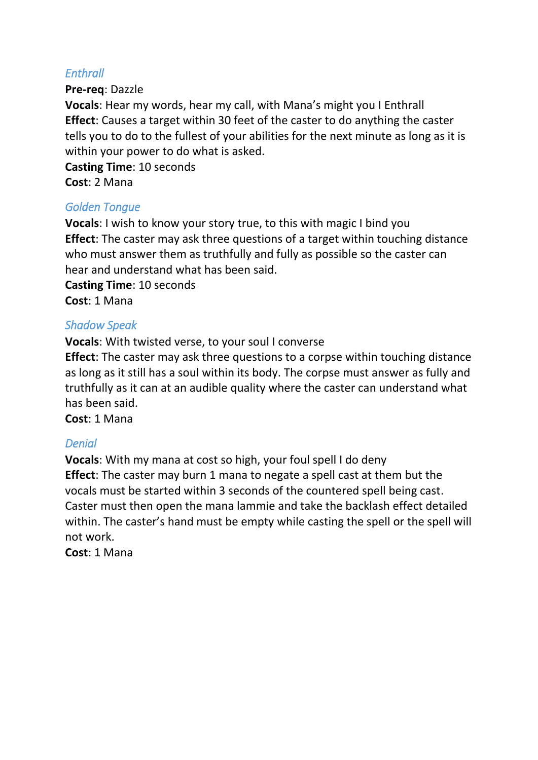# *Enthrall*

**Pre-req**: Dazzle

**Vocals**: Hear my words, hear my call, with Mana's might you I Enthrall **Effect**: Causes a target within 30 feet of the caster to do anything the caster tells you to do to the fullest of your abilities for the next minute as long as it is within your power to do what is asked.

**Casting Time**: 10 seconds **Cost**: 2 Mana

### *Golden Tongue*

**Vocals**: I wish to know your story true, to this with magic I bind you **Effect**: The caster may ask three questions of a target within touching distance who must answer them as truthfully and fully as possible so the caster can hear and understand what has been said.

**Casting Time**: 10 seconds **Cost**: 1 Mana

### *Shadow Speak*

**Vocals**: With twisted verse, to your soul I converse

**Effect**: The caster may ask three questions to a corpse within touching distance as long as it still has a soul within its body. The corpse must answer as fully and truthfully as it can at an audible quality where the caster can understand what has been said.

**Cost**: 1 Mana

# *Denial*

**Vocals**: With my mana at cost so high, your foul spell I do deny **Effect**: The caster may burn 1 mana to negate a spell cast at them but the vocals must be started within 3 seconds of the countered spell being cast. Caster must then open the mana lammie and take the backlash effect detailed within. The caster's hand must be empty while casting the spell or the spell will not work.

**Cost**: 1 Mana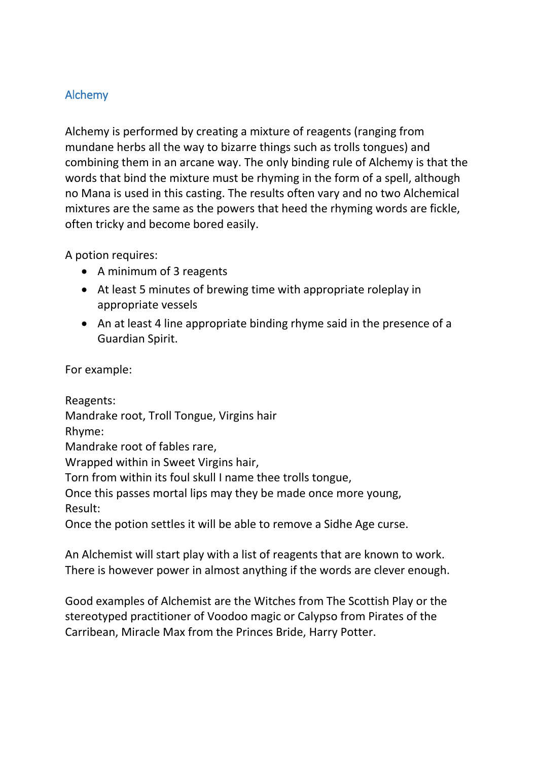# <span id="page-10-0"></span>Alchemy

Alchemy is performed by creating a mixture of reagents (ranging from mundane herbs all the way to bizarre things such as trolls tongues) and combining them in an arcane way. The only binding rule of Alchemy is that the words that bind the mixture must be rhyming in the form of a spell, although no Mana is used in this casting. The results often vary and no two Alchemical mixtures are the same as the powers that heed the rhyming words are fickle, often tricky and become bored easily.

A potion requires:

- A minimum of 3 reagents
- At least 5 minutes of brewing time with appropriate roleplay in appropriate vessels
- An at least 4 line appropriate binding rhyme said in the presence of a Guardian Spirit.

For example:

Reagents: Mandrake root, Troll Tongue, Virgins hair Rhyme: Mandrake root of fables rare, Wrapped within in Sweet Virgins hair, Torn from within its foul skull I name thee trolls tongue, Once this passes mortal lips may they be made once more young, Result: Once the potion settles it will be able to remove a Sidhe Age curse.

An Alchemist will start play with a list of reagents that are known to work. There is however power in almost anything if the words are clever enough.

Good examples of Alchemist are the Witches from The Scottish Play or the stereotyped practitioner of Voodoo magic or Calypso from Pirates of the Carribean, Miracle Max from the Princes Bride, Harry Potter.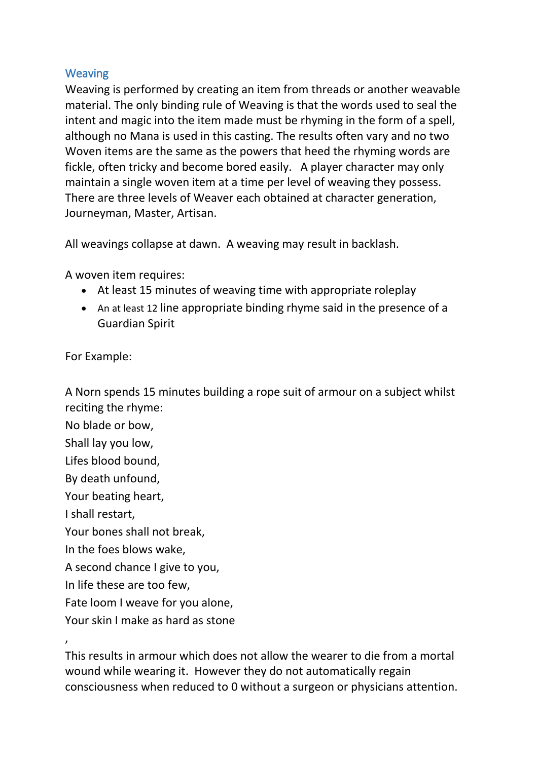## <span id="page-11-0"></span>Weaving

Weaving is performed by creating an item from threads or another weavable material. The only binding rule of Weaving is that the words used to seal the intent and magic into the item made must be rhyming in the form of a spell, although no Mana is used in this casting. The results often vary and no two Woven items are the same as the powers that heed the rhyming words are fickle, often tricky and become bored easily. A player character may only maintain a single woven item at a time per level of weaving they possess. There are three levels of Weaver each obtained at character generation, Journeyman, Master, Artisan.

All weavings collapse at dawn. A weaving may result in backlash.

A woven item requires:

- At least 15 minutes of weaving time with appropriate roleplay
- An at least 12 line appropriate binding rhyme said in the presence of a Guardian Spirit

For Example:

A Norn spends 15 minutes building a rope suit of armour on a subject whilst reciting the rhyme:

No blade or bow, Shall lay you low, Lifes blood bound, By death unfound, Your beating heart, I shall restart, Your bones shall not break, In the foes blows wake, A second chance I give to you, In life these are too few, Fate loom I weave for you alone, Your skin I make as hard as stone

,

This results in armour which does not allow the wearer to die from a mortal wound while wearing it. However they do not automatically regain consciousness when reduced to 0 without a surgeon or physicians attention.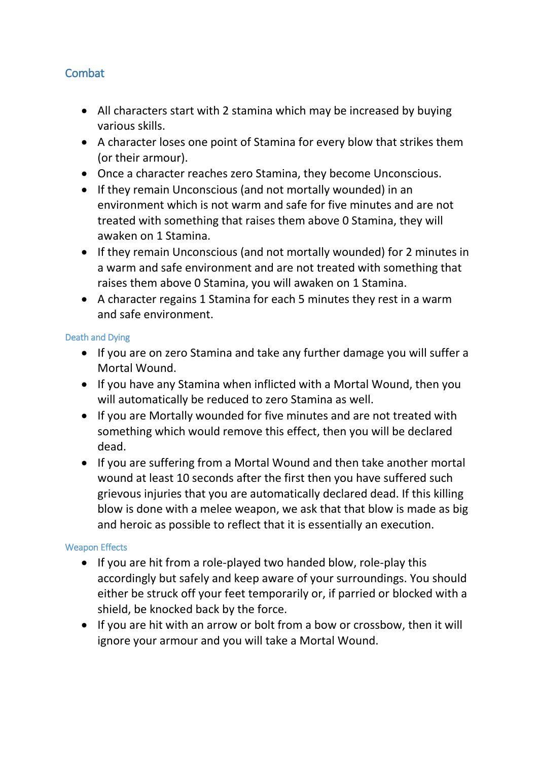# <span id="page-12-0"></span>**Combat**

- All characters start with 2 stamina which may be increased by buying various skills.
- A character loses one point of Stamina for every blow that strikes them (or their armour).
- Once a character reaches zero Stamina, they become Unconscious.
- If they remain Unconscious (and not mortally wounded) in an environment which is not warm and safe for five minutes and are not treated with something that raises them above 0 Stamina, they will awaken on 1 Stamina.
- If they remain Unconscious (and not mortally wounded) for 2 minutes in a warm and safe environment and are not treated with something that raises them above 0 Stamina, you will awaken on 1 Stamina.
- A character regains 1 Stamina for each 5 minutes they rest in a warm and safe environment.

#### <span id="page-12-1"></span>Death and Dying

- If you are on zero Stamina and take any further damage you will suffer a Mortal Wound.
- If you have any Stamina when inflicted with a Mortal Wound, then you will automatically be reduced to zero Stamina as well.
- If you are Mortally wounded for five minutes and are not treated with something which would remove this effect, then you will be declared dead.
- If you are suffering from a Mortal Wound and then take another mortal wound at least 10 seconds after the first then you have suffered such grievous injuries that you are automatically declared dead. If this killing blow is done with a melee weapon, we ask that that blow is made as big and heroic as possible to reflect that it is essentially an execution.

### <span id="page-12-2"></span>Weapon Effects

- If you are hit from a role-played two handed blow, role-play this accordingly but safely and keep aware of your surroundings. You should either be struck off your feet temporarily or, if parried or blocked with a shield, be knocked back by the force.
- If you are hit with an arrow or bolt from a bow or crossbow, then it will ignore your armour and you will take a Mortal Wound.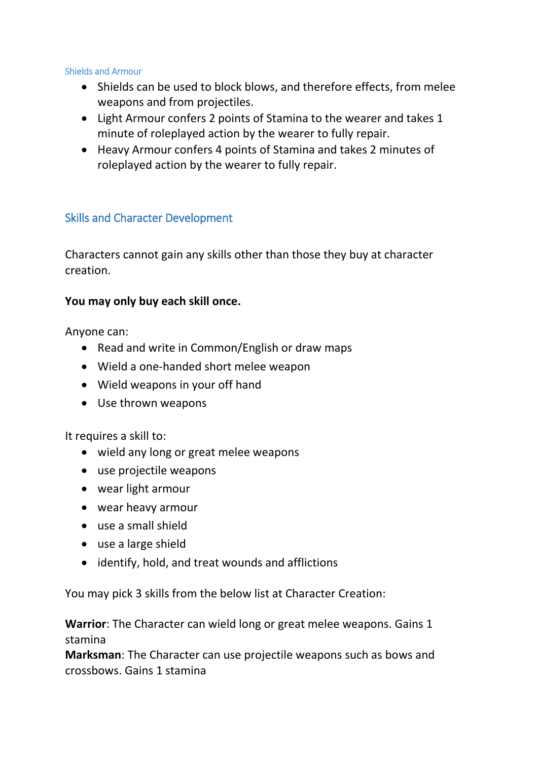#### <span id="page-13-0"></span>Shields and Armour

- Shields can be used to block blows, and therefore effects, from melee weapons and from projectiles.
- Light Armour confers 2 points of Stamina to the wearer and takes 1 minute of roleplayed action by the wearer to fully repair.
- Heavy Armour confers 4 points of Stamina and takes 2 minutes of roleplayed action by the wearer to fully repair.

# <span id="page-13-1"></span>Skills and Character Development

Characters cannot gain any skills other than those they buy at character creation.

### **You may only buy each skill once.**

Anyone can:

- Read and write in Common/English or draw maps
- Wield a one-handed short melee weapon
- Wield weapons in your off hand
- Use thrown weapons

It requires a skill to:

- wield any long or great melee weapons
- use projectile weapons
- wear light armour
- wear heavy armour
- use a small shield
- use a large shield
- identify, hold, and treat wounds and afflictions

You may pick 3 skills from the below list at Character Creation:

**Warrior**: The Character can wield long or great melee weapons. Gains 1 stamina

**Marksman**: The Character can use projectile weapons such as bows and crossbows. Gains 1 stamina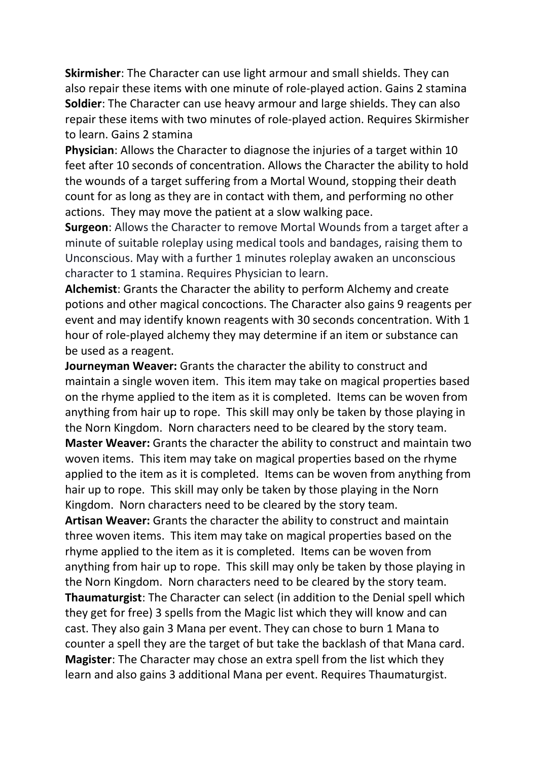**Skirmisher**: The Character can use light armour and small shields. They can also repair these items with one minute of role-played action. Gains 2 stamina **Soldier**: The Character can use heavy armour and large shields. They can also repair these items with two minutes of role-played action. Requires Skirmisher to learn. Gains 2 stamina

**Physician**: Allows the Character to diagnose the injuries of a target within 10 feet after 10 seconds of concentration. Allows the Character the ability to hold the wounds of a target suffering from a Mortal Wound, stopping their death count for as long as they are in contact with them, and performing no other actions. They may move the patient at a slow walking pace.

**Surgeon**: Allows the Character to remove Mortal Wounds from a target after a minute of suitable roleplay using medical tools and bandages, raising them to Unconscious. May with a further 1 minutes roleplay awaken an unconscious character to 1 stamina. Requires Physician to learn.

**Alchemist**: Grants the Character the ability to perform Alchemy and create potions and other magical concoctions. The Character also gains 9 reagents per event and may identify known reagents with 30 seconds concentration. With 1 hour of role-played alchemy they may determine if an item or substance can be used as a reagent.

**Journeyman Weaver:** Grants the character the ability to construct and maintain a single woven item. This item may take on magical properties based on the rhyme applied to the item as it is completed. Items can be woven from anything from hair up to rope. This skill may only be taken by those playing in the Norn Kingdom. Norn characters need to be cleared by the story team. **Master Weaver:** Grants the character the ability to construct and maintain two woven items. This item may take on magical properties based on the rhyme applied to the item as it is completed. Items can be woven from anything from hair up to rope. This skill may only be taken by those playing in the Norn Kingdom. Norn characters need to be cleared by the story team. **Artisan Weaver:** Grants the character the ability to construct and maintain three woven items. This item may take on magical properties based on the rhyme applied to the item as it is completed. Items can be woven from anything from hair up to rope. This skill may only be taken by those playing in the Norn Kingdom. Norn characters need to be cleared by the story team. **Thaumaturgist**: The Character can select (in addition to the Denial spell which they get for free) 3 spells from the Magic list which they will know and can cast. They also gain 3 Mana per event. They can chose to burn 1 Mana to

counter a spell they are the target of but take the backlash of that Mana card. **Magister**: The Character may chose an extra spell from the list which they learn and also gains 3 additional Mana per event. Requires Thaumaturgist.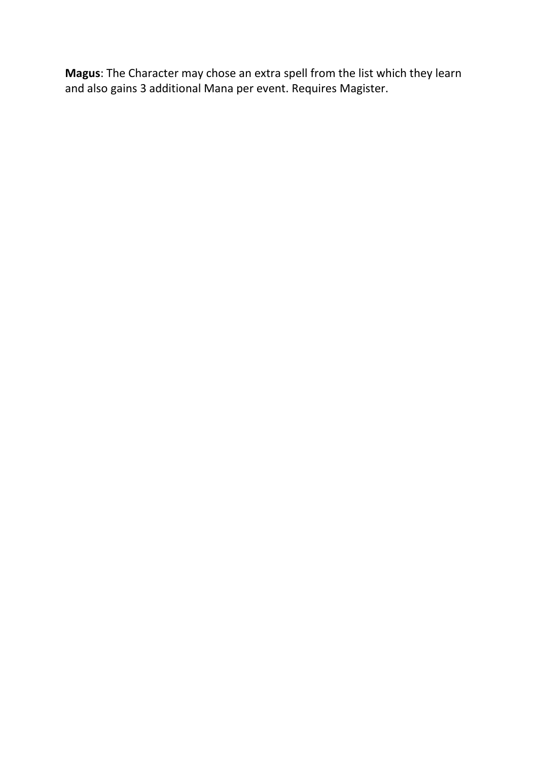**Magus**: The Character may chose an extra spell from the list which they learn and also gains 3 additional Mana per event. Requires Magister.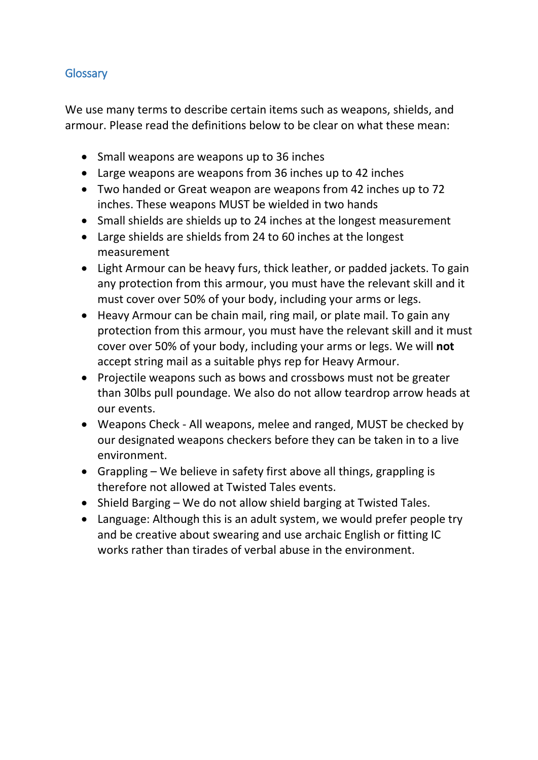# <span id="page-16-0"></span>**Glossary**

We use many terms to describe certain items such as weapons, shields, and armour. Please read the definitions below to be clear on what these mean:

- Small weapons are weapons up to 36 inches
- Large weapons are weapons from 36 inches up to 42 inches
- Two handed or Great weapon are weapons from 42 inches up to 72 inches. These weapons MUST be wielded in two hands
- Small shields are shields up to 24 inches at the longest measurement
- Large shields are shields from 24 to 60 inches at the longest measurement
- Light Armour can be heavy furs, thick leather, or padded jackets. To gain any protection from this armour, you must have the relevant skill and it must cover over 50% of your body, including your arms or legs.
- Heavy Armour can be chain mail, ring mail, or plate mail. To gain any protection from this armour, you must have the relevant skill and it must cover over 50% of your body, including your arms or legs. We will **not** accept string mail as a suitable phys rep for Heavy Armour.
- Projectile weapons such as bows and crossbows must not be greater than 30lbs pull poundage. We also do not allow teardrop arrow heads at our events.
- Weapons Check All weapons, melee and ranged, MUST be checked by our designated weapons checkers before they can be taken in to a live environment.
- Grappling We believe in safety first above all things, grappling is therefore not allowed at Twisted Tales events.
- Shield Barging We do not allow shield barging at Twisted Tales.
- Language: Although this is an adult system, we would prefer people try and be creative about swearing and use archaic English or fitting IC works rather than tirades of verbal abuse in the environment.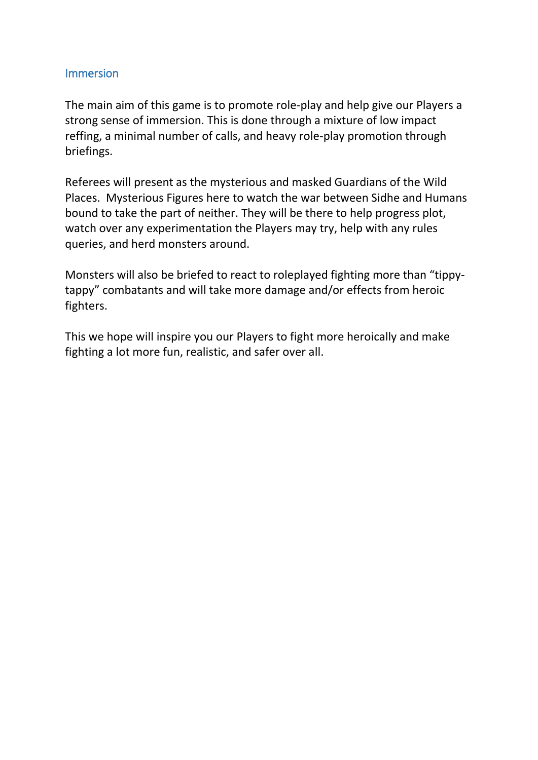#### <span id="page-17-0"></span>Immersion

The main aim of this game is to promote role-play and help give our Players a strong sense of immersion. This is done through a mixture of low impact reffing, a minimal number of calls, and heavy role-play promotion through briefings.

Referees will present as the mysterious and masked Guardians of the Wild Places. Mysterious Figures here to watch the war between Sidhe and Humans bound to take the part of neither. They will be there to help progress plot, watch over any experimentation the Players may try, help with any rules queries, and herd monsters around.

Monsters will also be briefed to react to roleplayed fighting more than "tippytappy" combatants and will take more damage and/or effects from heroic fighters.

This we hope will inspire you our Players to fight more heroically and make fighting a lot more fun, realistic, and safer over all.